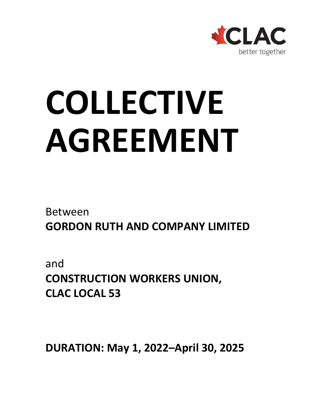

# **COLLECTIVE AGREEMENT**

Between **GORDON RUTH AND COMPANY LIMITED**

and **CONSTRUCTION WORKERS UNION, CLAC LOCAL 53**

**DURATION: May 1, 2022–April 30, 2025**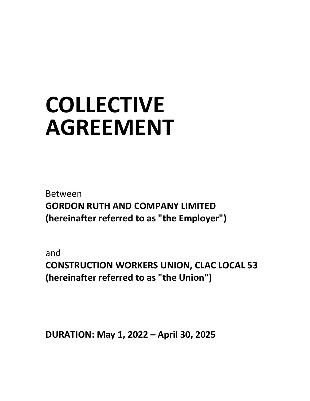## **COLLECTIVE AGREEMENT**

Between **GORDON RUTH AND COMPANY LIMITED (hereinafter referred to as "the Employer")**

and **CONSTRUCTION WORKERS UNION, CLAC LOCAL 53 (hereinafter referred to as "the Union")**

**DURATION: May 1, 2022 – April 30, 2025**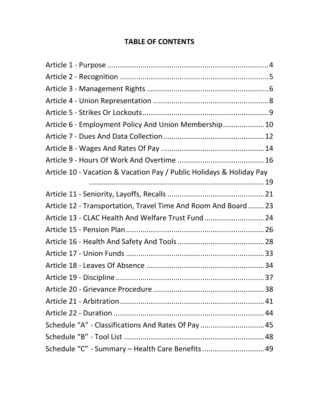#### **TABLE OF CONTENTS**

| Article 6 - Employment Policy And Union Membership 10                |  |
|----------------------------------------------------------------------|--|
|                                                                      |  |
|                                                                      |  |
|                                                                      |  |
| Article 10 - Vacation & Vacation Pay / Public Holidays & Holiday Pay |  |
|                                                                      |  |
|                                                                      |  |
| Article 12 - Transportation, Travel Time And Room And Board23        |  |
| Article 13 - CLAC Health And Welfare Trust Fund 24                   |  |
|                                                                      |  |
|                                                                      |  |
|                                                                      |  |
|                                                                      |  |
|                                                                      |  |
|                                                                      |  |
|                                                                      |  |
|                                                                      |  |
| Schedule "A" - Classifications And Rates Of Pay  45                  |  |
|                                                                      |  |
| Schedule "C" - Summary - Health Care Benefits  49                    |  |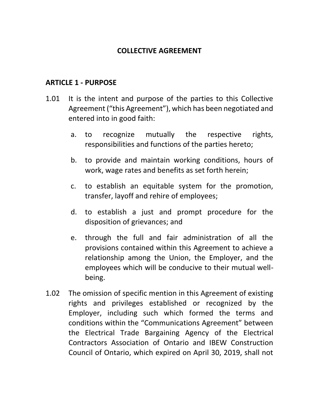#### **COLLECTIVE AGREEMENT**

#### <span id="page-3-0"></span>**ARTICLE 1 - PURPOSE**

- 1.01 It is the intent and purpose of the parties to this Collective Agreement ("this Agreement"), which has been negotiated and entered into in good faith:
	- a. to recognize mutually the respective rights, responsibilities and functions of the parties hereto;
	- b. to provide and maintain working conditions, hours of work, wage rates and benefits as set forth herein;
	- c. to establish an equitable system for the promotion, transfer, layoff and rehire of employees;
	- d. to establish a just and prompt procedure for the disposition of grievances; and
	- e. through the full and fair administration of all the provisions contained within this Agreement to achieve a relationship among the Union, the Employer, and the employees which will be conducive to their mutual wellbeing.
- 1.02 The omission of specific mention in this Agreement of existing rights and privileges established or recognized by the Employer, including such which formed the terms and conditions within the "Communications Agreement" between the Electrical Trade Bargaining Agency of the Electrical Contractors Association of Ontario and IBEW Construction Council of Ontario, which expired on April 30, 2019, shall not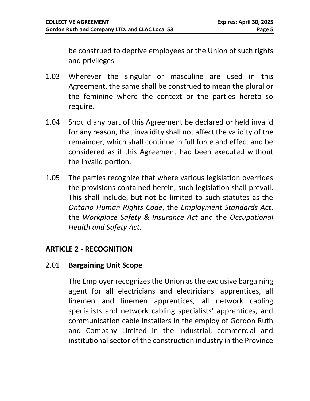be construed to deprive employees or the Union of such rights and privileges.

- 1.03 Wherever the singular or masculine are used in this Agreement, the same shall be construed to mean the plural or the feminine where the context or the parties hereto so require.
- 1.04 Should any part of this Agreement be declared or held invalid for any reason, that invalidity shall not affect the validity of the remainder, which shall continue in full force and effect and be considered as if this Agreement had been executed without the invalid portion.
- 1.05 The parties recognize that where various legislation overrides the provisions contained herein, such legislation shall prevail. This shall include, but not be limited to such statutes as the *Ontario Human Rights Code*, the *Employment Standards Act*, the *Workplace Safety & Insurance Act* and the *Occupational Health and Safety Act*.

#### <span id="page-4-0"></span>**ARTICLE 2 - RECOGNITION**

#### 2.01 **Bargaining Unit Scope**

The Employer recognizes the Union as the exclusive bargaining agent for all electricians and electricians' apprentices, all linemen and linemen apprentices, all network cabling specialists and network cabling specialists' apprentices, and communication cable installers in the employ of Gordon Ruth and Company Limited in the industrial, commercial and institutional sector of the construction industry in the Province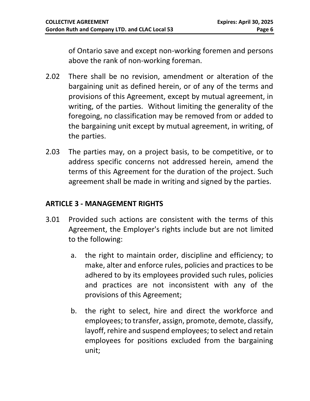of Ontario save and except non-working foremen and persons above the rank of non-working foreman.

- 2.02 There shall be no revision, amendment or alteration of the bargaining unit as defined herein, or of any of the terms and provisions of this Agreement, except by mutual agreement, in writing, of the parties. Without limiting the generality of the foregoing, no classification may be removed from or added to the bargaining unit except by mutual agreement, in writing, of the parties.
- 2.03 The parties may, on a project basis, to be competitive, or to address specific concerns not addressed herein, amend the terms of this Agreement for the duration of the project. Such agreement shall be made in writing and signed by the parties.

#### <span id="page-5-0"></span>**ARTICLE 3 - MANAGEMENT RIGHTS**

- 3.01 Provided such actions are consistent with the terms of this Agreement, the Employer's rights include but are not limited to the following:
	- a. the right to maintain order, discipline and efficiency; to make, alter and enforce rules, policies and practices to be adhered to by its employees provided such rules, policies and practices are not inconsistent with any of the provisions of this Agreement;
	- b. the right to select, hire and direct the workforce and employees; to transfer, assign, promote, demote, classify, layoff, rehire and suspend employees; to select and retain employees for positions excluded from the bargaining unit;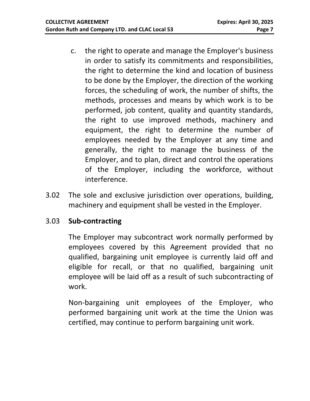- c. the right to operate and manage the Employer's business in order to satisfy its commitments and responsibilities, the right to determine the kind and location of business to be done by the Employer, the direction of the working forces, the scheduling of work, the number of shifts, the methods, processes and means by which work is to be performed, job content, quality and quantity standards, the right to use improved methods, machinery and equipment, the right to determine the number of employees needed by the Employer at any time and generally, the right to manage the business of the Employer, and to plan, direct and control the operations of the Employer, including the workforce, without interference.
- 3.02 The sole and exclusive jurisdiction over operations, building, machinery and equipment shall be vested in the Employer.

#### 3.03 **Sub-contracting**

The Employer may subcontract work normally performed by employees covered by this Agreement provided that no qualified, bargaining unit employee is currently laid off and eligible for recall, or that no qualified, bargaining unit employee will be laid off as a result of such subcontracting of work.

Non-bargaining unit employees of the Employer, who performed bargaining unit work at the time the Union was certified, may continue to perform bargaining unit work.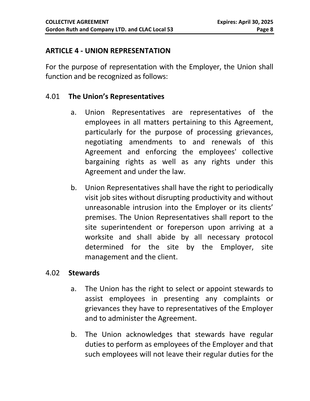#### <span id="page-7-0"></span>**ARTICLE 4 - UNION REPRESENTATION**

For the purpose of representation with the Employer, the Union shall function and be recognized as follows:

#### 4.01 **The Union's Representatives**

- a. Union Representatives are representatives of the employees in all matters pertaining to this Agreement, particularly for the purpose of processing grievances, negotiating amendments to and renewals of this Agreement and enforcing the employees' collective bargaining rights as well as any rights under this Agreement and under the law.
- b. Union Representatives shall have the right to periodically visit job sites without disrupting productivity and without unreasonable intrusion into the Employer or its clients' premises. The Union Representatives shall report to the site superintendent or foreperson upon arriving at a worksite and shall abide by all necessary protocol determined for the site by the Employer, site management and the client.

#### 4.02 **Stewards**

- a. The Union has the right to select or appoint stewards to assist employees in presenting any complaints or grievances they have to representatives of the Employer and to administer the Agreement.
- b. The Union acknowledges that stewards have regular duties to perform as employees of the Employer and that such employees will not leave their regular duties for the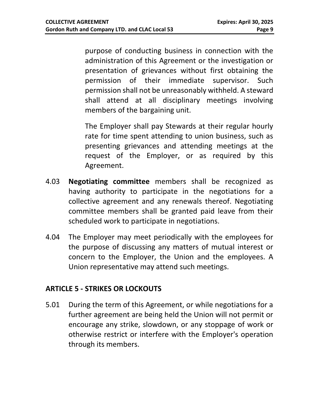purpose of conducting business in connection with the administration of this Agreement or the investigation or presentation of grievances without first obtaining the permission of their immediate supervisor. Such permission shall not be unreasonably withheld. A steward shall attend at all disciplinary meetings involving members of the bargaining unit.

The Employer shall pay Stewards at their regular hourly rate for time spent attending to union business, such as presenting grievances and attending meetings at the request of the Employer, or as required by this Agreement.

- 4.03 **Negotiating committee** members shall be recognized as having authority to participate in the negotiations for a collective agreement and any renewals thereof. Negotiating committee members shall be granted paid leave from their scheduled work to participate in negotiations.
- 4.04 The Employer may meet periodically with the employees for the purpose of discussing any matters of mutual interest or concern to the Employer, the Union and the employees. A Union representative may attend such meetings.

#### <span id="page-8-0"></span>**ARTICLE 5 - STRIKES OR LOCKOUTS**

5.01 During the term of this Agreement, or while negotiations for a further agreement are being held the Union will not permit or encourage any strike, slowdown, or any stoppage of work or otherwise restrict or interfere with the Employer's operation through its members.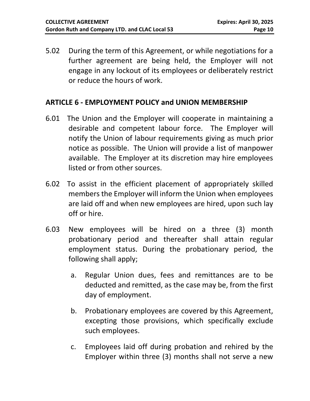5.02 During the term of this Agreement, or while negotiations for a further agreement are being held, the Employer will not engage in any lockout of its employees or deliberately restrict or reduce the hours of work.

#### <span id="page-9-0"></span>**ARTICLE 6 - EMPLOYMENT POLICY and UNION MEMBERSHIP**

- 6.01 The Union and the Employer will cooperate in maintaining a desirable and competent labour force. The Employer will notify the Union of labour requirements giving as much prior notice as possible. The Union will provide a list of manpower available. The Employer at its discretion may hire employees listed or from other sources.
- 6.02 To assist in the efficient placement of appropriately skilled members the Employer will inform the Union when employees are laid off and when new employees are hired, upon such lay off or hire.
- 6.03 New employees will be hired on a three (3) month probationary period and thereafter shall attain regular employment status. During the probationary period, the following shall apply;
	- a. Regular Union dues, fees and remittances are to be deducted and remitted, as the case may be, from the first day of employment.
	- b. Probationary employees are covered by this Agreement, excepting those provisions, which specifically exclude such employees.
	- c. Employees laid off during probation and rehired by the Employer within three (3) months shall not serve a new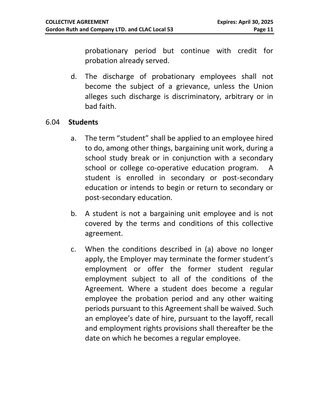probationary period but continue with credit for probation already served.

d. The discharge of probationary employees shall not become the subject of a grievance, unless the Union alleges such discharge is discriminatory, arbitrary or in bad faith.

#### 6.04 **Students**

- a. The term "student" shall be applied to an employee hired to do, among other things, bargaining unit work, during a school study break or in conjunction with a secondary school or college co-operative education program. A student is enrolled in secondary or post-secondary education or intends to begin or return to secondary or post-secondary education.
- b. A student is not a bargaining unit employee and is not covered by the terms and conditions of this collective agreement.
- c. When the conditions described in (a) above no longer apply, the Employer may terminate the former student's employment or offer the former student regular employment subject to all of the conditions of the Agreement. Where a student does become a regular employee the probation period and any other waiting periods pursuant to this Agreement shall be waived. Such an employee's date of hire, pursuant to the layoff, recall and employment rights provisions shall thereafter be the date on which he becomes a regular employee.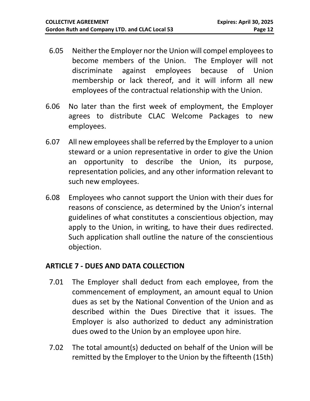- 6.05 Neither the Employer nor the Union will compel employees to become members of the Union. The Employer will not discriminate against employees because of Union membership or lack thereof, and it will inform all new employees of the contractual relationship with the Union.
- 6.06 No later than the first week of employment, the Employer agrees to distribute CLAC Welcome Packages to new employees.
- 6.07 All new employees shall be referred by the Employer to a union steward or a union representative in order to give the Union an opportunity to describe the Union, its purpose, representation policies, and any other information relevant to such new employees.
- 6.08 Employees who cannot support the Union with their dues for reasons of conscience, as determined by the Union's internal guidelines of what constitutes a conscientious objection, may apply to the Union, in writing, to have their dues redirected. Such application shall outline the nature of the conscientious objection.

#### <span id="page-11-0"></span>**ARTICLE 7 - DUES AND DATA COLLECTION**

- 7.01 The Employer shall deduct from each employee, from the commencement of employment, an amount equal to Union dues as set by the National Convention of the Union and as described within the Dues Directive that it issues. The Employer is also authorized to deduct any administration dues owed to the Union by an employee upon hire.
- 7.02 The total amount(s) deducted on behalf of the Union will be remitted by the Employer to the Union by the fifteenth (15th)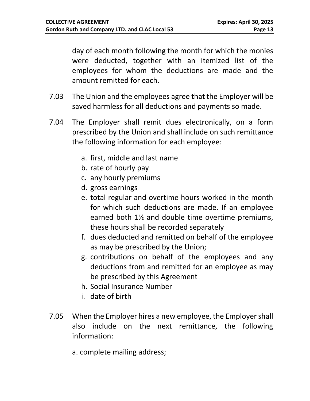day of each month following the month for which the monies were deducted, together with an itemized list of the employees for whom the deductions are made and the amount remitted for each.

- 7.03 The Union and the employees agree that the Employer will be saved harmless for all deductions and payments so made.
- 7.04 The Employer shall remit dues electronically, on a form prescribed by the Union and shall include on such remittance the following information for each employee:
	- a. first, middle and last name
	- b. rate of hourly pay
	- c. any hourly premiums
	- d. gross earnings
	- e. total regular and overtime hours worked in the month for which such deductions are made. If an employee earned both 1½ and double time overtime premiums, these hours shall be recorded separately
	- f. dues deducted and remitted on behalf of the employee as may be prescribed by the Union;
	- g. contributions on behalf of the employees and any deductions from and remitted for an employee as may be prescribed by this Agreement
	- h. Social Insurance Number
	- i. date of birth
- 7.05 When the Employer hires a new employee, the Employer shall also include on the next remittance, the following information:
	- a. complete mailing address;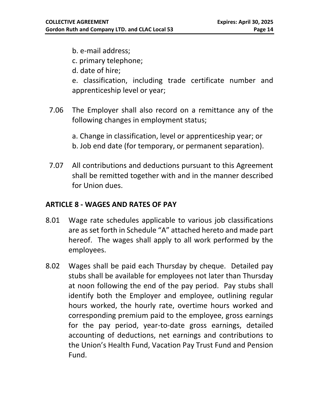- b. e-mail address;
- c. primary telephone;
- d. date of hire;
- e. classification, including trade certificate number and apprenticeship level or year;
- 7.06 The Employer shall also record on a remittance any of the following changes in employment status;
	- a. Change in classification, level or apprenticeship year; or b. Job end date (for temporary, or permanent separation).
- 7.07 All contributions and deductions pursuant to this Agreement shall be remitted together with and in the manner described for Union dues.

#### <span id="page-13-0"></span>**ARTICLE 8 - WAGES AND RATES OF PAY**

- 8.01 Wage rate schedules applicable to various job classifications are as set forth in Schedule "A" attached hereto and made part hereof. The wages shall apply to all work performed by the employees.
- 8.02 Wages shall be paid each Thursday by cheque. Detailed pay stubs shall be available for employees not later than Thursday at noon following the end of the pay period. Pay stubs shall identify both the Employer and employee, outlining regular hours worked, the hourly rate, overtime hours worked and corresponding premium paid to the employee, gross earnings for the pay period, year-to-date gross earnings, detailed accounting of deductions, net earnings and contributions to the Union's Health Fund, Vacation Pay Trust Fund and Pension Fund.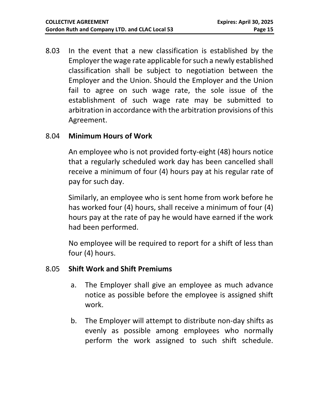8.03 In the event that a new classification is established by the Employer the wage rate applicable for such a newly established classification shall be subject to negotiation between the Employer and the Union. Should the Employer and the Union fail to agree on such wage rate, the sole issue of the establishment of such wage rate may be submitted to arbitration in accordance with the arbitration provisions of this Agreement.

#### 8.04 **Minimum Hours of Work**

An employee who is not provided forty-eight (48) hours notice that a regularly scheduled work day has been cancelled shall receive a minimum of four (4) hours pay at his regular rate of pay for such day.

Similarly, an employee who is sent home from work before he has worked four (4) hours, shall receive a minimum of four (4) hours pay at the rate of pay he would have earned if the work had been performed.

No employee will be required to report for a shift of less than four (4) hours.

#### 8.05 **Shift Work and Shift Premiums**

- a. The Employer shall give an employee as much advance notice as possible before the employee is assigned shift work.
- b. The Employer will attempt to distribute non-day shifts as evenly as possible among employees who normally perform the work assigned to such shift schedule.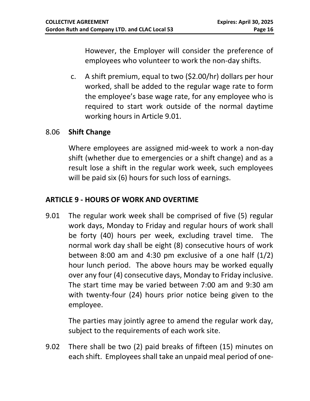However, the Employer will consider the preference of employees who volunteer to work the non-day shifts.

c. A shift premium, equal to two (\$2.00/hr) dollars per hour worked, shall be added to the regular wage rate to form the employee's base wage rate, for any employee who is required to start work outside of the normal daytime working hours in Article 9.01.

#### 8.06 **Shift Change**

Where employees are assigned mid-week to work a non-day shift (whether due to emergencies or a shift change) and as a result lose a shift in the regular work week, such employees will be paid six (6) hours for such loss of earnings.

#### <span id="page-15-0"></span>**ARTICLE 9 - HOURS OF WORK AND OVERTIME**

9.01 The regular work week shall be comprised of five (5) regular work days, Monday to Friday and regular hours of work shall be forty (40) hours per week, excluding travel time. The normal work day shall be eight (8) consecutive hours of work between 8:00 am and 4:30 pm exclusive of a one half (1/2) hour lunch period. The above hours may be worked equally over any four (4) consecutive days, Monday to Friday inclusive. The start time may be varied between 7:00 am and 9:30 am with twenty-four (24) hours prior notice being given to the employee.

The parties may jointly agree to amend the regular work day, subject to the requirements of each work site.

9.02 There shall be two (2) paid breaks of fifteen (15) minutes on each shift. Employees shall take an unpaid meal period of one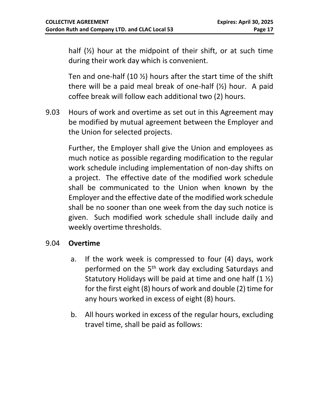half (½) hour at the midpoint of their shift, or at such time during their work day which is convenient.

Ten and one-half (10 ½) hours after the start time of the shift there will be a paid meal break of one-half (½) hour. A paid coffee break will follow each additional two (2) hours.

9.03 Hours of work and overtime as set out in this Agreement may be modified by mutual agreement between the Employer and the Union for selected projects.

Further, the Employer shall give the Union and employees as much notice as possible regarding modification to the regular work schedule including implementation of non-day shifts on a project. The effective date of the modified work schedule shall be communicated to the Union when known by the Employer and the effective date of the modified work schedule shall be no sooner than one week from the day such notice is given. Such modified work schedule shall include daily and weekly overtime thresholds.

#### 9.04 **Overtime**

- a. If the work week is compressed to four (4) days, work performed on the 5<sup>th</sup> work day excluding Saturdays and Statutory Holidays will be paid at time and one half  $(1 \frac{1}{2})$ for the first eight (8) hours of work and double (2) time for any hours worked in excess of eight (8) hours.
- b. All hours worked in excess of the regular hours, excluding travel time, shall be paid as follows: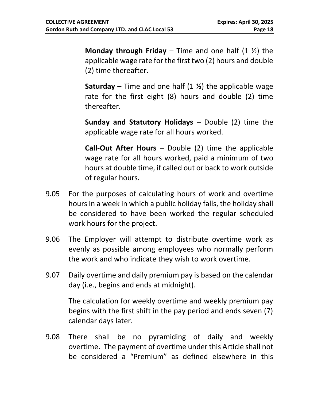**Monday through Friday** – Time and one half (1 ½) the applicable wage rate for the first two (2) hours and double (2) time thereafter.

**Saturday** – Time and one half  $(1 \frac{1}{2})$  the applicable wage rate for the first eight (8) hours and double (2) time thereafter.

**Sunday and Statutory Holidays** – Double (2) time the applicable wage rate for all hours worked.

**Call-Out After Hours** – Double (2) time the applicable wage rate for all hours worked, paid a minimum of two hours at double time, if called out or back to work outside of regular hours.

- 9.05 For the purposes of calculating hours of work and overtime hours in a week in which a public holiday falls, the holiday shall be considered to have been worked the regular scheduled work hours for the project.
- 9.06 The Employer will attempt to distribute overtime work as evenly as possible among employees who normally perform the work and who indicate they wish to work overtime.
- 9.07 Daily overtime and daily premium pay is based on the calendar day (i.e., begins and ends at midnight).

The calculation for weekly overtime and weekly premium pay begins with the first shift in the pay period and ends seven (7) calendar days later.

9.08 There shall be no pyramiding of daily and weekly overtime. The payment of overtime under this Article shall not be considered a "Premium" as defined elsewhere in this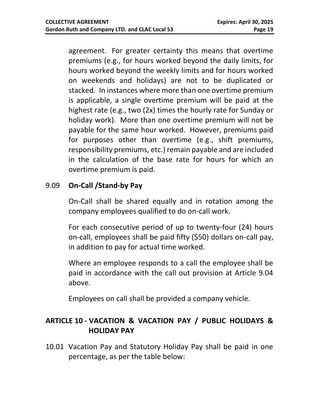agreement. For greater certainty this means that overtime premiums (e.g., for hours worked beyond the daily limits, for hours worked beyond the weekly limits and for hours worked on weekends and holidays) are not to be duplicated or stacked. In instances where more than one overtime premium is applicable, a single overtime premium will be paid at the highest rate (e.g., two (2x) times the hourly rate for Sunday or holiday work). More than one overtime premium will not be payable for the same hour worked. However, premiums paid for purposes other than overtime (e.g., shift premiums, responsibility premiums, etc.) remain payable and are included in the calculation of the base rate for hours for which an overtime premium is paid.

#### 9.09 **On-Call /Stand-by Pay**

On-Call shall be shared equally and in rotation among the company employees qualified to do on-call work.

For each consecutive period of up to twenty-four (24) hours on-call, employees shall be paid fifty (\$50) dollars on-call pay, in addition to pay for actual time worked.

Where an employee responds to a call the employee shall be paid in accordance with the call out provision at Article 9.04 above.

Employees on call shall be provided a company vehicle.

#### <span id="page-18-0"></span>**ARTICLE 10 - VACATION & VACATION PAY / PUBLIC HOLIDAYS & HOLIDAY PAY**

10.01 Vacation Pay and Statutory Holiday Pay shall be paid in one percentage, as per the table below: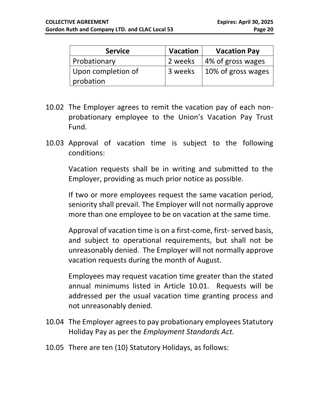| <b>Service</b>                  | <b>Vacation</b> | <b>Vacation Pay</b> |
|---------------------------------|-----------------|---------------------|
| Probationary                    | 2 weeks         | 4% of gross wages   |
| Upon completion of<br>probation | 3 weeks         | 10% of gross wages  |

- 10.02 The Employer agrees to remit the vacation pay of each nonprobationary employee to the Union's Vacation Pay Trust Fund.
- 10.03 Approval of vacation time is subject to the following conditions:

Vacation requests shall be in writing and submitted to the Employer, providing as much prior notice as possible.

If two or more employees request the same vacation period, seniority shall prevail. The Employer will not normally approve more than one employee to be on vacation at the same time.

Approval of vacation time is on a first-come, first- served basis, and subject to operational requirements, but shall not be unreasonably denied. The Employer will not normally approve vacation requests during the month of August.

Employees may request vacation time greater than the stated annual minimums listed in Article 10.01. Requests will be addressed per the usual vacation time granting process and not unreasonably denied.

- 10.04 The Employer agrees to pay probationary employees Statutory Holiday Pay as per the *Employment Standards Act.*
- 10.05 There are ten (10) Statutory Holidays, as follows: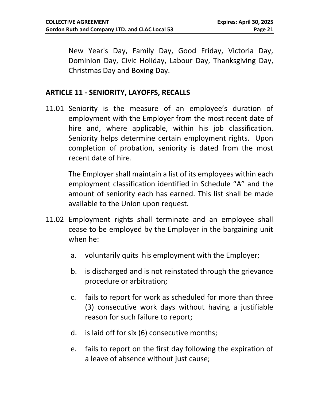New Year's Day, Family Day, Good Friday, Victoria Day, Dominion Day, Civic Holiday, Labour Day, Thanksgiving Day, Christmas Day and Boxing Day.

#### <span id="page-20-0"></span>**ARTICLE 11 - SENIORITY, LAYOFFS, RECALLS**

11.01 Seniority is the measure of an employee's duration of employment with the Employer from the most recent date of hire and, where applicable, within his job classification. Seniority helps determine certain employment rights. Upon completion of probation, seniority is dated from the most recent date of hire.

The Employer shall maintain a list of its employees within each employment classification identified in Schedule "A" and the amount of seniority each has earned. This list shall be made available to the Union upon request.

- 11.02 Employment rights shall terminate and an employee shall cease to be employed by the Employer in the bargaining unit when he:
	- a. voluntarily quits his employment with the Employer;
	- b. is discharged and is not reinstated through the grievance procedure or arbitration;
	- c. fails to report for work as scheduled for more than three (3) consecutive work days without having a justifiable reason for such failure to report;
	- d. is laid off for six (6) consecutive months;
	- e. fails to report on the first day following the expiration of a leave of absence without just cause;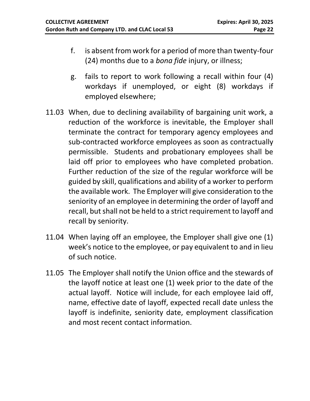- f. is absent from work for a period of more than twenty-four (24) months due to a *bona fide* injury, or illness;
- g. fails to report to work following a recall within four (4) workdays if unemployed, or eight (8) workdays if employed elsewhere;
- 11.03 When, due to declining availability of bargaining unit work, a reduction of the workforce is inevitable, the Employer shall terminate the contract for temporary agency employees and sub-contracted workforce employees as soon as contractually permissible. Students and probationary employees shall be laid off prior to employees who have completed probation. Further reduction of the size of the regular workforce will be guided by skill, qualifications and ability of a worker to perform the available work. The Employer will give consideration to the seniority of an employee in determining the order of layoff and recall, but shall not be held to a strict requirement to layoff and recall by seniority.
- 11.04 When laying off an employee, the Employer shall give one (1) week's notice to the employee, or pay equivalent to and in lieu of such notice.
- 11.05 The Employer shall notify the Union office and the stewards of the layoff notice at least one (1) week prior to the date of the actual layoff. Notice will include, for each employee laid off, name, effective date of layoff, expected recall date unless the layoff is indefinite, seniority date, employment classification and most recent contact information.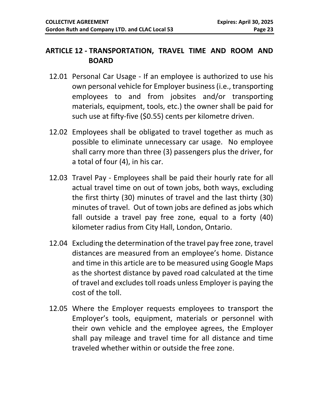#### <span id="page-22-0"></span>**ARTICLE 12 - TRANSPORTATION, TRAVEL TIME AND ROOM AND BOARD**

- 12.01 Personal Car Usage If an employee is authorized to use his own personal vehicle for Employer business (i.e., transporting employees to and from jobsites and/or transporting materials, equipment, tools, etc.) the owner shall be paid for such use at fifty-five (\$0.55) cents per kilometre driven.
- 12.02 Employees shall be obligated to travel together as much as possible to eliminate unnecessary car usage. No employee shall carry more than three (3) passengers plus the driver, for a total of four (4), in his car.
- 12.03 Travel Pay Employees shall be paid their hourly rate for all actual travel time on out of town jobs, both ways, excluding the first thirty (30) minutes of travel and the last thirty (30) minutes of travel. Out of town jobs are defined as jobs which fall outside a travel pay free zone, equal to a forty (40) kilometer radius from City Hall, London, Ontario.
- 12.04 Excluding the determination of the travel pay free zone, travel distances are measured from an employee's home. Distance and time in this article are to be measured using Google Maps as the shortest distance by paved road calculated at the time of travel and excludes toll roads unless Employer is paying the cost of the toll.
- 12.05 Where the Employer requests employees to transport the Employer's tools, equipment, materials or personnel with their own vehicle and the employee agrees, the Employer shall pay mileage and travel time for all distance and time traveled whether within or outside the free zone.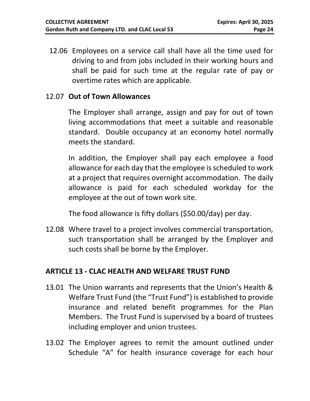12.06 Employees on a service call shall have all the time used for driving to and from jobs included in their working hours and shall be paid for such time at the regular rate of pay or overtime rates which are applicable.

#### 12.07 **Out of Town Allowances**

The Employer shall arrange, assign and pay for out of town living accommodations that meet a suitable and reasonable standard. Double occupancy at an economy hotel normally meets the standard.

In addition, the Employer shall pay each employee a food allowance for each day that the employee is scheduled to work at a project that requires overnight accommodation. The daily allowance is paid for each scheduled workday for the employee at the out of town work site.

The food allowance is fifty dollars (\$50.00/day) per day.

12.08 Where travel to a project involves commercial transportation, such transportation shall be arranged by the Employer and such costs shall be borne by the Employer.

#### <span id="page-23-0"></span>**ARTICLE 13 - CLAC HEALTH AND WELFARE TRUST FUND**

- 13.01 The Union warrants and represents that the Union's Health & Welfare Trust Fund (the "Trust Fund") is established to provide insurance and related benefit programmes for the Plan Members. The Trust Fund is supervised by a board of trustees including employer and union trustees.
- 13.02 The Employer agrees to remit the amount outlined under Schedule "A" for health insurance coverage for each hour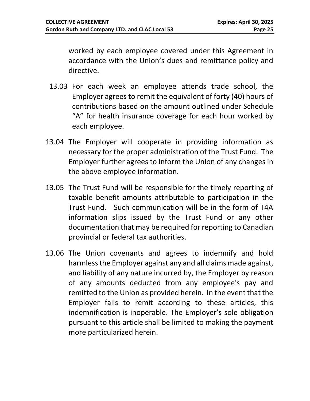worked by each employee covered under this Agreement in accordance with the Union's dues and remittance policy and directive.

- 13.03 For each week an employee attends trade school, the Employer agrees to remit the equivalent of forty (40) hours of contributions based on the amount outlined under Schedule "A" for health insurance coverage for each hour worked by each employee.
- 13.04 The Employer will cooperate in providing information as necessary for the proper administration of the Trust Fund. The Employer further agrees to inform the Union of any changes in the above employee information.
- 13.05 The Trust Fund will be responsible for the timely reporting of taxable benefit amounts attributable to participation in the Trust Fund. Such communication will be in the form of T4A information slips issued by the Trust Fund or any other documentation that may be required for reporting to Canadian provincial or federal tax authorities.
- 13.06 The Union covenants and agrees to indemnify and hold harmless the Employer against any and all claims made against, and liability of any nature incurred by, the Employer by reason of any amounts deducted from any employee's pay and remitted to the Union as provided herein. In the event that the Employer fails to remit according to these articles, this indemnification is inoperable. The Employer's sole obligation pursuant to this article shall be limited to making the payment more particularized herein.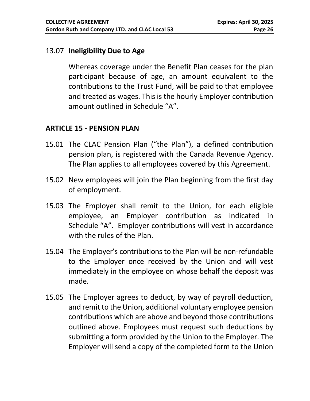#### 13.07 **Ineligibility Due to Age**

Whereas coverage under the Benefit Plan ceases for the plan participant because of age, an amount equivalent to the contributions to the Trust Fund, will be paid to that employee and treated as wages. This is the hourly Employer contribution amount outlined in Schedule "A".

#### <span id="page-25-0"></span>**ARTICLE 15 - PENSION PLAN**

- 15.01 The CLAC Pension Plan ("the Plan"), a defined contribution pension plan, is registered with the Canada Revenue Agency. The Plan applies to all employees covered by this Agreement.
- 15.02 New employees will join the Plan beginning from the first day of employment.
- 15.03 The Employer shall remit to the Union, for each eligible employee, an Employer contribution as indicated in Schedule "A". Employer contributions will vest in accordance with the rules of the Plan.
- 15.04 The Employer's contributions to the Plan will be non-refundable to the Employer once received by the Union and will vest immediately in the employee on whose behalf the deposit was made.
- 15.05 The Employer agrees to deduct, by way of payroll deduction, and remit to the Union, additional voluntary employee pension contributions which are above and beyond those contributions outlined above. Employees must request such deductions by submitting a form provided by the Union to the Employer. The Employer will send a copy of the completed form to the Union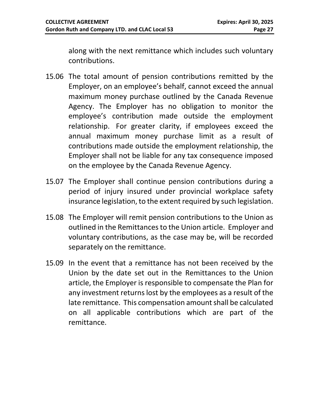along with the next remittance which includes such voluntary contributions.

- 15.06 The total amount of pension contributions remitted by the Employer, on an employee's behalf, cannot exceed the annual maximum money purchase outlined by the Canada Revenue Agency. The Employer has no obligation to monitor the employee's contribution made outside the employment relationship. For greater clarity, if employees exceed the annual maximum money purchase limit as a result of contributions made outside the employment relationship, the Employer shall not be liable for any tax consequence imposed on the employee by the Canada Revenue Agency.
- 15.07 The Employer shall continue pension contributions during a period of injury insured under provincial workplace safety insurance legislation, to the extent required by such legislation.
- 15.08 The Employer will remit pension contributions to the Union as outlined in the Remittances to the Union article. Employer and voluntary contributions, as the case may be, will be recorded separately on the remittance.
- 15.09 In the event that a remittance has not been received by the Union by the date set out in the Remittances to the Union article, the Employer is responsible to compensate the Plan for any investment returns lost by the employees as a result of the late remittance. This compensation amount shall be calculated on all applicable contributions which are part of the remittance.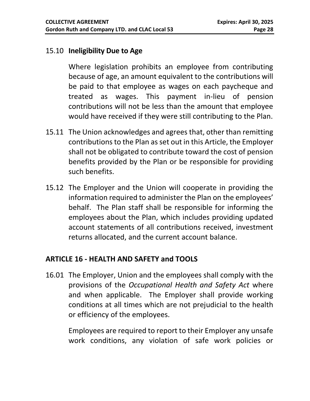#### 15.10 **Ineligibility Due to Age**

Where legislation prohibits an employee from contributing because of age, an amount equivalent to the contributions will be paid to that employee as wages on each paycheque and treated as wages. This payment in-lieu of pension contributions will not be less than the amount that employee would have received if they were still contributing to the Plan.

- 15.11 The Union acknowledges and agrees that, other than remitting contributions to the Plan as set out in this Article, the Employer shall not be obligated to contribute toward the cost of pension benefits provided by the Plan or be responsible for providing such benefits.
- 15.12 The Employer and the Union will cooperate in providing the information required to administer the Plan on the employees' behalf. The Plan staff shall be responsible for informing the employees about the Plan, which includes providing updated account statements of all contributions received, investment returns allocated, and the current account balance.

#### <span id="page-27-0"></span>**ARTICLE 16 - HEALTH AND SAFETY and TOOLS**

16.01 The Employer, Union and the employees shall comply with the provisions of the *Occupational Health and Safety Act* where and when applicable. The Employer shall provide working conditions at all times which are not prejudicial to the health or efficiency of the employees.

Employees are required to report to their Employer any unsafe work conditions, any violation of safe work policies or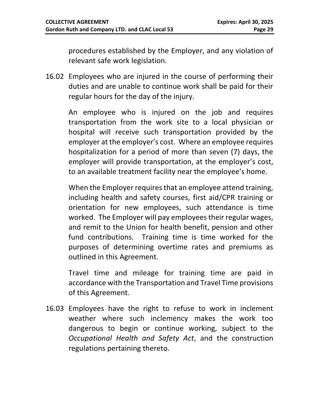procedures established by the Employer, and any violation of relevant safe work legislation.

16.02 Employees who are injured in the course of performing their duties and are unable to continue work shall be paid for their regular hours for the day of the injury.

An employee who is injured on the job and requires transportation from the work site to a local physician or hospital will receive such transportation provided by the employer at the employer's cost. Where an employee requires hospitalization for a period of more than seven (7) days, the employer will provide transportation, at the employer's cost, to an available treatment facility near the employee's home.

When the Employer requires that an employee attend training, including health and safety courses, first aid/CPR training or orientation for new employees, such attendance is time worked. The Employer will pay employees their regular wages, and remit to the Union for health benefit, pension and other fund contributions. Training time is time worked for the purposes of determining overtime rates and premiums as outlined in this Agreement.

Travel time and mileage for training time are paid in accordance with the Transportation and Travel Time provisions of this Agreement.

16.03 Employees have the right to refuse to work in inclement weather where such inclemency makes the work too dangerous to begin or continue working, subject to the *Occupational Health and Safety Act*, and the construction regulations pertaining thereto.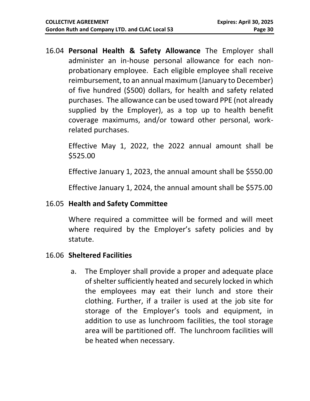16.04 **Personal Health & Safety Allowance** The Employer shall administer an in-house personal allowance for each nonprobationary employee. Each eligible employee shall receive reimbursement, to an annual maximum (January to December) of five hundred (\$500) dollars, for health and safety related purchases. The allowance can be used toward PPE (not already supplied by the Employer), as a top up to health benefit coverage maximums, and/or toward other personal, workrelated purchases.

Effective May 1, 2022, the 2022 annual amount shall be \$525.00

Effective January 1, 2023, the annual amount shall be \$550.00

Effective January 1, 2024, the annual amount shall be \$575.00

#### 16.05 **Health and Safety Committee**

Where required a committee will be formed and will meet where required by the Employer's safety policies and by statute.

#### 16.06 **Sheltered Facilities**

a. The Employer shall provide a proper and adequate place of shelter sufficiently heated and securely locked in which the employees may eat their lunch and store their clothing. Further, if a trailer is used at the job site for storage of the Employer's tools and equipment, in addition to use as lunchroom facilities, the tool storage area will be partitioned off. The lunchroom facilities will be heated when necessary.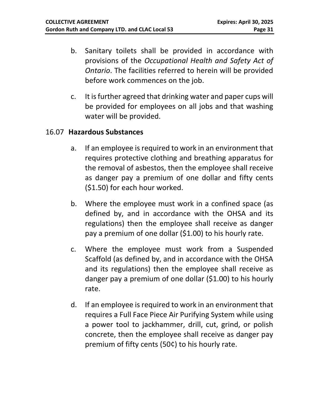- b. Sanitary toilets shall be provided in accordance with provisions of the *Occupational Health and Safety Act of Ontario*. The facilities referred to herein will be provided before work commences on the job.
- c. It is further agreed that drinking water and paper cups will be provided for employees on all jobs and that washing water will be provided.

#### 16.07 **Hazardous Substances**

- a. If an employee is required to work in an environment that requires protective clothing and breathing apparatus for the removal of asbestos, then the employee shall receive as danger pay a premium of one dollar and fifty cents (\$1.50) for each hour worked.
- b. Where the employee must work in a confined space (as defined by, and in accordance with the OHSA and its regulations) then the employee shall receive as danger pay a premium of one dollar (\$1.00) to his hourly rate.
- c. Where the employee must work from a Suspended Scaffold (as defined by, and in accordance with the OHSA and its regulations) then the employee shall receive as danger pay a premium of one dollar (\$1.00) to his hourly rate.
- d. If an employee is required to work in an environment that requires a Full Face Piece Air Purifying System while using a power tool to jackhammer, drill, cut, grind, or polish concrete, then the employee shall receive as danger pay premium of fifty cents (50¢) to his hourly rate.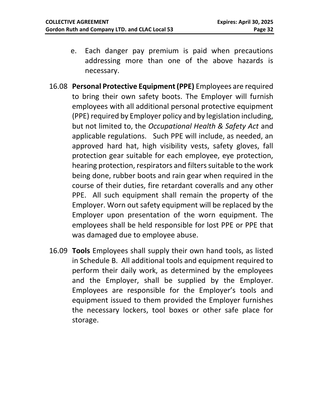- e. Each danger pay premium is paid when precautions addressing more than one of the above hazards is necessary.
- 16.08 **Personal Protective Equipment (PPE)** Employees are required to bring their own safety boots. The Employer will furnish employees with all additional personal protective equipment (PPE) required by Employer policy and by legislation including, but not limited to, the *Occupational Health & Safety Act* and applicable regulations. Such PPE will include, as needed, an approved hard hat, high visibility vests, safety gloves, fall protection gear suitable for each employee, eye protection, hearing protection, respirators and filters suitable to the work being done, rubber boots and rain gear when required in the course of their duties, fire retardant coveralls and any other PPE. All such equipment shall remain the property of the Employer. Worn out safety equipment will be replaced by the Employer upon presentation of the worn equipment. The employees shall be held responsible for lost PPE or PPE that was damaged due to employee abuse.
- 16.09 **Tools** Employees shall supply their own hand tools, as listed in Schedule B. All additional tools and equipment required to perform their daily work, as determined by the employees and the Employer, shall be supplied by the Employer. Employees are responsible for the Employer's tools and equipment issued to them provided the Employer furnishes the necessary lockers, tool boxes or other safe place for storage.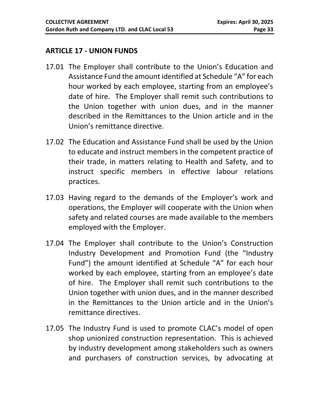#### <span id="page-32-0"></span>**ARTICLE 17 - UNION FUNDS**

- 17.01 The Employer shall contribute to the Union's Education and Assistance Fund the amount identified at Schedule "A" for each hour worked by each employee, starting from an employee's date of hire. The Employer shall remit such contributions to the Union together with union dues, and in the manner described in the Remittances to the Union article and in the Union's remittance directive.
- 17.02 The Education and Assistance Fund shall be used by the Union to educate and instruct members in the competent practice of their trade, in matters relating to Health and Safety, and to instruct specific members in effective labour relations practices.
- 17.03 Having regard to the demands of the Employer's work and operations, the Employer will cooperate with the Union when safety and related courses are made available to the members employed with the Employer.
- 17.04 The Employer shall contribute to the Union's Construction Industry Development and Promotion Fund (the "Industry Fund") the amount identified at Schedule "A" for each hour worked by each employee, starting from an employee's date of hire. The Employer shall remit such contributions to the Union together with union dues, and in the manner described in the Remittances to the Union article and in the Union's remittance directives.
- 17.05 The Industry Fund is used to promote CLAC's model of open shop unionized construction representation. This is achieved by industry development among stakeholders such as owners and purchasers of construction services, by advocating at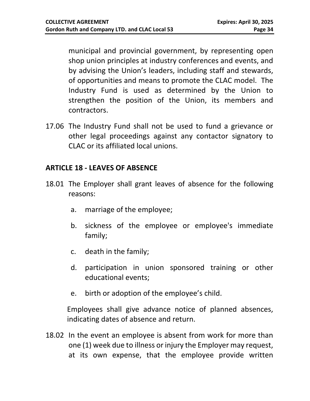municipal and provincial government, by representing open shop union principles at industry conferences and events, and by advising the Union's leaders, including staff and stewards, of opportunities and means to promote the CLAC model. The Industry Fund is used as determined by the Union to strengthen the position of the Union, its members and contractors.

17.06 The Industry Fund shall not be used to fund a grievance or other legal proceedings against any contactor signatory to CLAC or its affiliated local unions.

#### <span id="page-33-0"></span>**ARTICLE 18 - LEAVES OF ABSENCE**

- 18.01 The Employer shall grant leaves of absence for the following reasons:
	- a. marriage of the employee;
	- b. sickness of the employee or employee's immediate family;
	- c. death in the family;
	- d. participation in union sponsored training or other educational events;
	- e. birth or adoption of the employee's child.

Employees shall give advance notice of planned absences, indicating dates of absence and return.

18.02 In the event an employee is absent from work for more than one (1) week due to illness or injury the Employer may request, at its own expense, that the employee provide written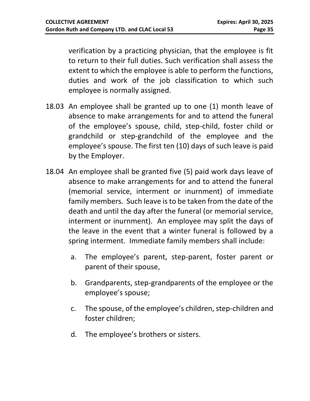verification by a practicing physician, that the employee is fit to return to their full duties. Such verification shall assess the extent to which the employee is able to perform the functions, duties and work of the job classification to which such employee is normally assigned.

- 18.03 An employee shall be granted up to one (1) month leave of absence to make arrangements for and to attend the funeral of the employee's spouse, child, step-child, foster child or grandchild or step-grandchild of the employee and the employee's spouse. The first ten (10) days of such leave is paid by the Employer.
- 18.04 An employee shall be granted five (5) paid work days leave of absence to make arrangements for and to attend the funeral (memorial service, interment or inurnment) of immediate family members. Such leave is to be taken from the date of the death and until the day after the funeral (or memorial service, interment or inurnment). An employee may split the days of the leave in the event that a winter funeral is followed by a spring interment. Immediate family members shall include:
	- a. The employee's parent, step-parent, foster parent or parent of their spouse,
	- b. Grandparents, step-grandparents of the employee or the employee's spouse;
	- c. The spouse, of the employee's children, step-children and foster children;
	- d. The employee's brothers or sisters.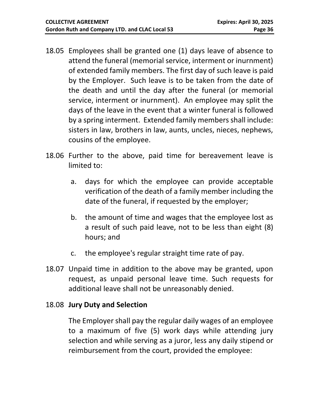- 18.05 Employees shall be granted one (1) days leave of absence to attend the funeral (memorial service, interment or inurnment) of extended family members. The first day of such leave is paid by the Employer. Such leave is to be taken from the date of the death and until the day after the funeral (or memorial service, interment or inurnment). An employee may split the days of the leave in the event that a winter funeral is followed by a spring interment. Extended family members shall include: sisters in law, brothers in law, aunts, uncles, nieces, nephews, cousins of the employee.
- 18.06 Further to the above, paid time for bereavement leave is limited to:
	- a. days for which the employee can provide acceptable verification of the death of a family member including the date of the funeral, if requested by the employer;
	- b. the amount of time and wages that the employee lost as a result of such paid leave, not to be less than eight (8) hours; and
	- c. the employee's regular straight time rate of pay.
- 18.07 Unpaid time in addition to the above may be granted, upon request, as unpaid personal leave time. Such requests for additional leave shall not be unreasonably denied.

#### 18.08 **Jury Duty and Selection**

The Employer shall pay the regular daily wages of an employee to a maximum of five (5) work days while attending jury selection and while serving as a juror, less any daily stipend or reimbursement from the court, provided the employee: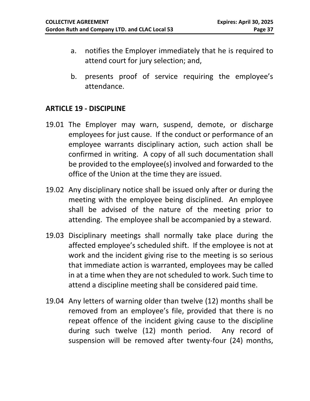- a. notifies the Employer immediately that he is required to attend court for jury selection; and,
- b. presents proof of service requiring the employee's attendance.

#### <span id="page-36-0"></span>**ARTICLE 19 - DISCIPLINE**

- 19.01 The Employer may warn, suspend, demote, or discharge employees for just cause. If the conduct or performance of an employee warrants disciplinary action, such action shall be confirmed in writing. A copy of all such documentation shall be provided to the employee(s) involved and forwarded to the office of the Union at the time they are issued.
- 19.02 Any disciplinary notice shall be issued only after or during the meeting with the employee being disciplined. An employee shall be advised of the nature of the meeting prior to attending. The employee shall be accompanied by a steward.
- 19.03 Disciplinary meetings shall normally take place during the affected employee's scheduled shift. If the employee is not at work and the incident giving rise to the meeting is so serious that immediate action is warranted, employees may be called in at a time when they are not scheduled to work. Such time to attend a discipline meeting shall be considered paid time.
- 19.04 Any letters of warning older than twelve (12) months shall be removed from an employee's file, provided that there is no repeat offence of the incident giving cause to the discipline during such twelve (12) month period. Any record of suspension will be removed after twenty-four (24) months,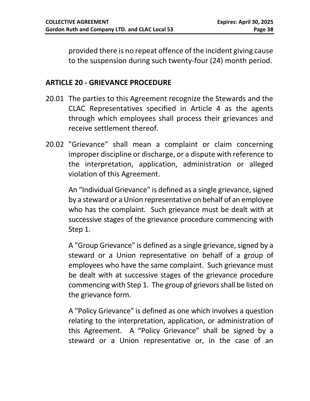provided there is no repeat offence of the incident giving cause to the suspension during such twenty-four (24) month period.

#### <span id="page-37-0"></span>**ARTICLE 20 - GRIEVANCE PROCEDURE**

- 20.01 The parties to this Agreement recognize the Stewards and the CLAC Representatives specified in Article 4 as the agents through which employees shall process their grievances and receive settlement thereof.
- 20.02 "Grievance" shall mean a complaint or claim concerning improper discipline or discharge, or a dispute with reference to the interpretation, application, administration or alleged violation of this Agreement.

An "Individual Grievance" is defined as a single grievance, signed by a steward or a Union representative on behalf of an employee who has the complaint. Such grievance must be dealt with at successive stages of the grievance procedure commencing with Step 1.

A "Group Grievance" is defined as a single grievance, signed by a steward or a Union representative on behalf of a group of employees who have the same complaint. Such grievance must be dealt with at successive stages of the grievance procedure commencing with Step 1. The group of grievors shall be listed on the grievance form.

A "Policy Grievance" is defined as one which involves a question relating to the interpretation, application, or administration of this Agreement. A "Policy Grievance" shall be signed by a steward or a Union representative or, in the case of an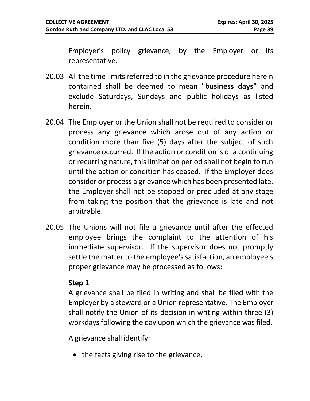Employer's policy grievance, by the Employer or its representative.

- 20.03 All the time limits referred to in the grievance procedure herein contained shall be deemed to mean "**business days"** and exclude Saturdays, Sundays and public holidays as listed herein.
- 20.04 The Employer or the Union shall not be required to consider or process any grievance which arose out of any action or condition more than five (5) days after the subject of such grievance occurred. If the action or condition is of a continuing or recurring nature, this limitation period shall not begin to run until the action or condition has ceased. If the Employer does consider or process a grievance which has been presented late, the Employer shall not be stopped or precluded at any stage from taking the position that the grievance is late and not arbitrable.
- 20.05 The Unions will not file a grievance until after the effected employee brings the complaint to the attention of his immediate supervisor. If the supervisor does not promptly settle the matter to the employee's satisfaction, an employee's proper grievance may be processed as follows:

#### **Step 1**

A grievance shall be filed in writing and shall be filed with the Employer by a steward or a Union representative. The Employer shall notify the Union of its decision in writing within three (3) workdays following the day upon which the grievance was filed.

A grievance shall identify:

• the facts giving rise to the grievance,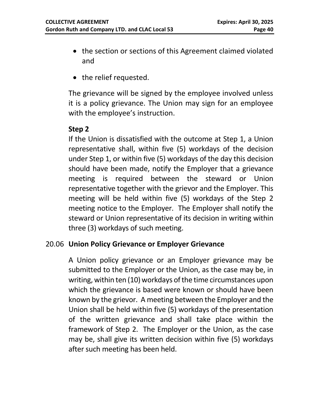- the section or sections of this Agreement claimed violated and
- the relief requested.

The grievance will be signed by the employee involved unless it is a policy grievance. The Union may sign for an employee with the employee's instruction.

#### **Step 2**

If the Union is dissatisfied with the outcome at Step 1, a Union representative shall, within five (5) workdays of the decision under Step 1, or within five (5) workdays of the day this decision should have been made, notify the Employer that a grievance meeting is required between the steward or Union representative together with the grievor and the Employer. This meeting will be held within five (5) workdays of the Step 2 meeting notice to the Employer. The Employer shall notify the steward or Union representative of its decision in writing within three (3) workdays of such meeting.

#### 20.06 **Union Policy Grievance or Employer Grievance**

A Union policy grievance or an Employer grievance may be submitted to the Employer or the Union, as the case may be, in writing, within ten (10) workdays of the time circumstances upon which the grievance is based were known or should have been known by the grievor. A meeting between the Employer and the Union shall be held within five (5) workdays of the presentation of the written grievance and shall take place within the framework of Step 2. The Employer or the Union, as the case may be, shall give its written decision within five (5) workdays after such meeting has been held.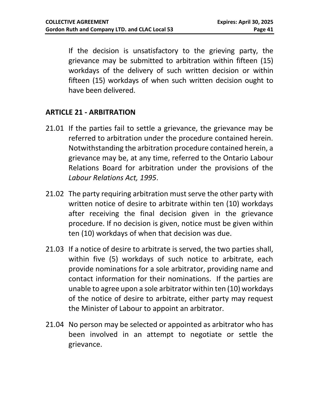If the decision is unsatisfactory to the grieving party, the grievance may be submitted to arbitration within fifteen (15) workdays of the delivery of such written decision or within fifteen (15) workdays of when such written decision ought to have been delivered.

#### <span id="page-40-0"></span>**ARTICLE 21 - ARBITRATION**

- 21.01 If the parties fail to settle a grievance, the grievance may be referred to arbitration under the procedure contained herein. Notwithstanding the arbitration procedure contained herein, a grievance may be, at any time, referred to the Ontario Labour Relations Board for arbitration under the provisions of the *Labour Relations Act, 1995*.
- 21.02 The party requiring arbitration must serve the other party with written notice of desire to arbitrate within ten (10) workdays after receiving the final decision given in the grievance procedure. If no decision is given, notice must be given within ten (10) workdays of when that decision was due.
- 21.03 If a notice of desire to arbitrate is served, the two parties shall, within five (5) workdays of such notice to arbitrate, each provide nominations for a sole arbitrator, providing name and contact information for their nominations. If the parties are unable to agree upon a sole arbitrator within ten (10) workdays of the notice of desire to arbitrate, either party may request the Minister of Labour to appoint an arbitrator.
- 21.04 No person may be selected or appointed as arbitrator who has been involved in an attempt to negotiate or settle the grievance.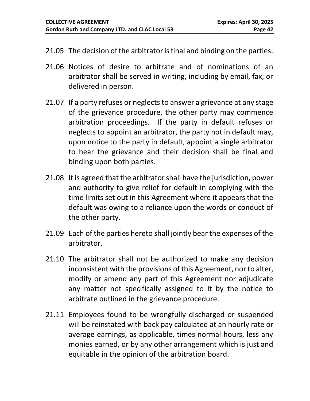- 21.05 The decision of the arbitrator is final and binding on the parties.
- 21.06 Notices of desire to arbitrate and of nominations of an arbitrator shall be served in writing, including by email, fax, or delivered in person.
- 21.07 If a party refuses or neglects to answer a grievance at any stage of the grievance procedure, the other party may commence arbitration proceedings. If the party in default refuses or neglects to appoint an arbitrator, the party not in default may, upon notice to the party in default, appoint a single arbitrator to hear the grievance and their decision shall be final and binding upon both parties.
- 21.08 It is agreed that the arbitrator shall have the jurisdiction, power and authority to give relief for default in complying with the time limits set out in this Agreement where it appears that the default was owing to a reliance upon the words or conduct of the other party.
- 21.09 Each of the parties hereto shall jointly bear the expenses of the arbitrator.
- 21.10 The arbitrator shall not be authorized to make any decision inconsistent with the provisions of this Agreement, nor to alter, modify or amend any part of this Agreement nor adjudicate any matter not specifically assigned to it by the notice to arbitrate outlined in the grievance procedure.
- 21.11 Employees found to be wrongfully discharged or suspended will be reinstated with back pay calculated at an hourly rate or average earnings, as applicable, times normal hours, less any monies earned, or by any other arrangement which is just and equitable in the opinion of the arbitration board.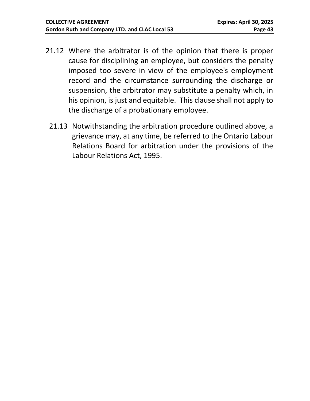- 21.12 Where the arbitrator is of the opinion that there is proper cause for disciplining an employee, but considers the penalty imposed too severe in view of the employee's employment record and the circumstance surrounding the discharge or suspension, the arbitrator may substitute a penalty which, in his opinion, is just and equitable. This clause shall not apply to the discharge of a probationary employee.
	- 21.13 Notwithstanding the arbitration procedure outlined above, a grievance may, at any time, be referred to the Ontario Labour Relations Board for arbitration under the provisions of the Labour Relations Act, 1995.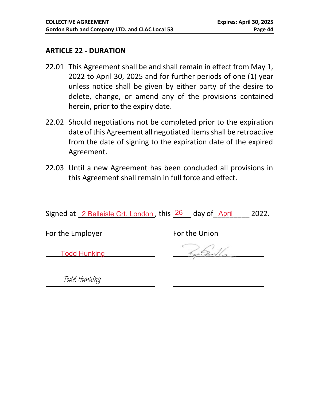#### **ARTICLE 22 - DURATION**

- 22.01 This Agreement shall be and shall remain in effect from May 1, 2022 to April 30, 2025 and for further periods of one (1) year unless notice shall be given by either party of the desire to delete, change, or amend any of the provisions contained herein, prior to the expiry date.
- 22.02 Should negotiations not be completed prior to the expiration date of this Agreement all negotiated items shall be retroactive from the date of signing to the expiration date of the expired Agreement.
- 22.03 Until a new Agreement has been concluded all provisions in this Agreement shall remain in full force and effect.

Signed at 2 Belleisle Crt. London, this 26 day of April 2022.

For the Employer For the Union

Todd Hunking

Todd Hunking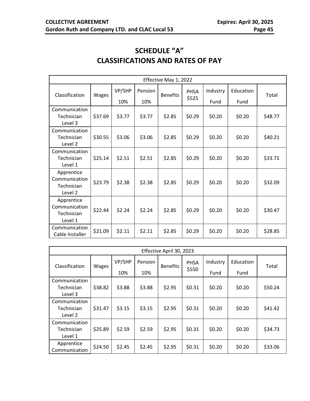#### **SCHEDULE "A" CLASSIFICATIONS AND RATES OF PAY**

<span id="page-44-1"></span><span id="page-44-0"></span>

| Effective May 1, 2022                                |         |               |                |                 |                      |                  |                   |         |
|------------------------------------------------------|---------|---------------|----------------|-----------------|----------------------|------------------|-------------------|---------|
| Classification                                       | Wages   | VP/SHP<br>10% | Pension<br>10% | <b>Benefits</b> | <b>PHSA</b><br>\$525 | Industry<br>Fund | Education<br>Fund | Total   |
| Communication<br>Technician<br>Level 3               | \$37.69 | \$3.77        | \$3.77         | \$2.85          | \$0.29               | \$0.20           | \$0.20            | \$48.77 |
| Communication<br>Technician<br>Level 2               | \$30.55 | \$3.06        | \$3.06         | \$2.85          | \$0.29               | \$0.20           | \$0.20            | \$40.21 |
| Communication<br>Technician<br>Level 1               | \$25.14 | \$2.51        | \$2.51         | \$2.85          | \$0.29               | \$0.20           | \$0.20            | \$33.71 |
| Apprentice<br>Communication<br>Technician<br>Level 2 | \$23.79 | \$2.38        | \$2.38         | \$2.85          | \$0.29               | \$0.20           | \$0.20            | \$32.09 |
| Apprentice<br>Communication<br>Technician<br>Level 1 | \$22.44 | \$2.24        | \$2.24         | \$2.85          | \$0.29               | \$0.20           | \$0.20            | \$30.47 |
| Communication<br>Cable Installer                     | \$21.09 | \$2.11        | \$2.11         | \$2.85          | \$0.29               | \$0.20           | \$0.20            | \$28.85 |

| Effective April 30, 2023               |              |        |         |                 |             |          |           |         |  |
|----------------------------------------|--------------|--------|---------|-----------------|-------------|----------|-----------|---------|--|
| Classification                         | <b>Wages</b> | VP/SHP | Pension | <b>Benefits</b> | <b>PHSA</b> | Industry | Education | Total   |  |
|                                        |              | 10%    | 10%     |                 | \$550       | Fund     | Fund      |         |  |
| Communication<br>Technician<br>Level 3 | \$38.82      | \$3.88 | \$3.88  | \$2.95          | \$0.31      | \$0.20   | \$0.20    | \$50.24 |  |
| Communication<br>Technician<br>Level 2 | \$31.47      | \$3.15 | \$3.15  | \$2.95          | \$0.31      | \$0.20   | \$0.20    | \$41.42 |  |
| Communication<br>Technician<br>Level 1 | \$25.89      | \$2.59 | \$2.59  | \$2.95          | \$0.31      | \$0.20   | \$0.20    | \$34.73 |  |
| Apprentice<br>Communication            | \$24.50      | \$2.45 | \$2.45  | \$2.95          | \$0.31      | \$0.20   | \$0.20    | \$33.06 |  |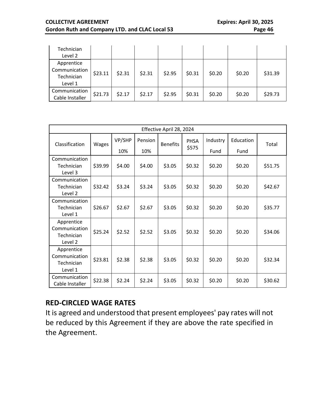#### **COLLECTIVE AGREEMENT Expires: April 30, 2025 Gordon Ruth and Company LTD. and CLAC Local 53 Page 46**

| Technician<br>Level 2                                |         |        |        |        |        |        |        |         |
|------------------------------------------------------|---------|--------|--------|--------|--------|--------|--------|---------|
| Apprentice<br>Communication<br>Technician<br>Level 1 | \$23.11 | \$2.31 | \$2.31 | \$2.95 | \$0.31 | \$0.20 | \$0.20 | \$31.39 |
| Communication<br>Cable Installer                     | \$21.73 | \$2.17 | \$2.17 | \$2.95 | \$0.31 | \$0.20 | \$0.20 | \$29.73 |

| Effective April 28, 2024                             |         |        |         |                 |                      |          |           |         |
|------------------------------------------------------|---------|--------|---------|-----------------|----------------------|----------|-----------|---------|
| Classification                                       | Wages   | VP/SHP | Pension | <b>Benefits</b> | <b>PHSA</b><br>\$575 | Industry | Education | Total   |
|                                                      |         | 10%    | 10%     |                 |                      | Fund     | Fund      |         |
| Communication                                        |         |        |         |                 |                      |          |           |         |
| Technician<br>Level 3                                | \$39.99 | \$4.00 | \$4.00  | \$3.05          | \$0.32               | \$0.20   | \$0.20    | \$51.75 |
| Communication                                        |         |        |         |                 |                      |          |           |         |
| Technician<br>Level 2                                | \$32.42 | \$3.24 | \$3.24  | \$3.05          | \$0.32               | \$0.20   | \$0.20    | \$42.67 |
| Communication                                        |         |        |         |                 |                      |          |           |         |
| Technician<br>Level 1                                | \$26.67 | \$2.67 | \$2.67  | \$3.05          | \$0.32               | \$0.20   | \$0.20    | \$35.77 |
| Apprentice<br>Communication<br>Technician<br>Level 2 | \$25.24 | \$2.52 | \$2.52  | \$3.05          | \$0.32               | \$0.20   | \$0.20    | \$34.06 |
| Apprentice<br>Communication<br>Technician<br>Level 1 | \$23.81 | \$2.38 | \$2.38  | \$3.05          | \$0.32               | \$0.20   | \$0.20    | \$32.34 |
| Communication<br>Cable Installer                     | \$22.38 | \$2.24 | \$2.24  | \$3.05          | \$0.32               | \$0.20   | \$0.20    | \$30.62 |

#### **RED-CIRCLED WAGE RATES**

It is agreed and understood that present employees' pay rates will not be reduced by this Agreement if they are above the rate specified in the Agreement.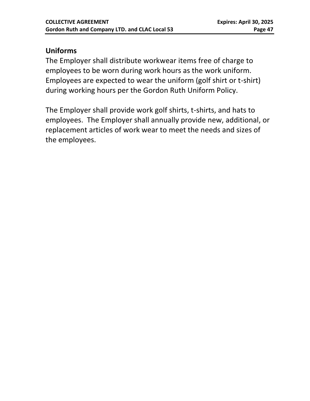#### **Uniforms**

The Employer shall distribute workwear items free of charge to employees to be worn during work hours as the work uniform. Employees are expected to wear the uniform (golf shirt or t-shirt) during working hours per the Gordon Ruth Uniform Policy.

The Employer shall provide work golf shirts, t-shirts, and hats to employees. The Employer shall annually provide new, additional, or replacement articles of work wear to meet the needs and sizes of the employees.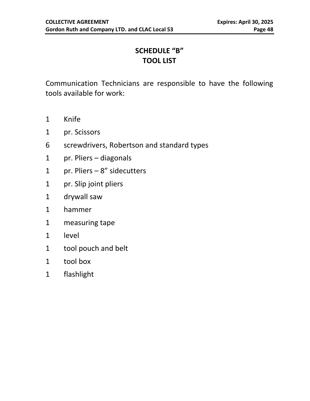#### **SCHEDULE "B" TOOL LIST**

<span id="page-47-1"></span><span id="page-47-0"></span>Communication Technicians are responsible to have the following tools available for work:

- Knife
- pr. Scissors
- screwdrivers, Robertson and standard types
- pr. Pliers diagonals
- pr. Pliers 8" sidecutters
- pr. Slip joint pliers
- drywall saw
- hammer
- measuring tape
- level
- tool pouch and belt
- tool box
- flashlight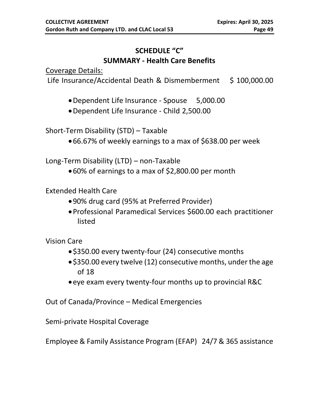#### **SCHEDULE "C" SUMMARY - Health Care Benefits**

Coverage Details:

Life Insurance/Accidental Death & Dismemberment \$ 100,000.00

- •Dependent Life Insurance Spouse 5,000.00
- •Dependent Life Insurance Child 2,500.00

Short-Term Disability (STD) – Taxable

•66.67% of weekly earnings to a max of \$638.00 per week

Long-Term Disability (LTD) – non-Taxable

•60% of earnings to a max of \$2,800.00 per month

Extended Health Care

- •90% drug card (95% at Preferred Provider)
- •Professional Paramedical Services \$600.00 each practitioner listed

Vision Care

- •\$350.00 every twenty-four (24) consecutive months
- •\$350.00 every twelve (12) consecutive months, under the age of 18
- •eye exam every twenty-four months up to provincial R&C

Out of Canada/Province – Medical Emergencies

Semi-private Hospital Coverage

Employee & Family Assistance Program (EFAP)24/7 & 365 assistance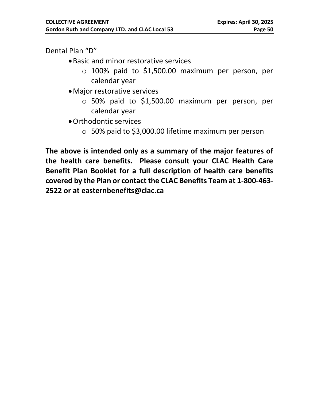Dental Plan "D"

- •Basic and minor restorative services
	- $\circ$  100% paid to \$1,500.00 maximum per person, per calendar year
- •Major restorative services
	- o 50% paid to \$1,500.00 maximum per person, per calendar year
- •Orthodontic services
	- o 50% paid to \$3,000.00 lifetime maximum per person

**The above is intended only as a summary of the major features of the health care benefits. Please consult your CLAC Health Care Benefit Plan Booklet for a full description of health care benefits covered by the Plan or contact the CLAC Benefits Team at 1-800-463- 2522 or at easternbenefits@clac.ca**